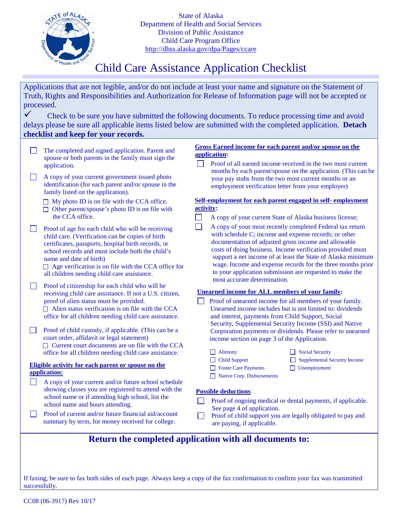

State of Alaska Department of Health and Social Services Division of Public Assistance Child Care Program Office <http://dhss.alaska.gov/dpa/Pages/ccare>

# Child Care Assistance Application Checklist

| Applications that are not legible, and/or do not include at least your name and signature on the Statement of<br>Truth, Rights and Responsibilities and Authorization for Release of Information page will not be accepted or<br>processed. |                                                                                                                                                                                                                                                                                                                                                          |                                                                                                                                                                                                                                                                                                                                                                                                                                                                                      |  |  |  |  |
|---------------------------------------------------------------------------------------------------------------------------------------------------------------------------------------------------------------------------------------------|----------------------------------------------------------------------------------------------------------------------------------------------------------------------------------------------------------------------------------------------------------------------------------------------------------------------------------------------------------|--------------------------------------------------------------------------------------------------------------------------------------------------------------------------------------------------------------------------------------------------------------------------------------------------------------------------------------------------------------------------------------------------------------------------------------------------------------------------------------|--|--|--|--|
|                                                                                                                                                                                                                                             | checklist and keep for your records.                                                                                                                                                                                                                                                                                                                     | Check to be sure you have submitted the following documents. To reduce processing time and avoid<br>delays please be sure all applicable items listed below are submitted with the completed application. Detach                                                                                                                                                                                                                                                                     |  |  |  |  |
|                                                                                                                                                                                                                                             | The completed and signed application. Parent and<br>spouse or both parents in the family must sign the<br>application.<br>A copy of your current government issued photo<br>identification (for each parent and/or spouse in the                                                                                                                         | <b>Gross Earned income for each parent and/or spouse on the</b><br>application:<br>Proof of all earned income received in the two most current<br>months by each parent/spouse on the application. (This can be<br>your pay stubs from the two most current months or an<br>employment verification letter from your employer)                                                                                                                                                       |  |  |  |  |
|                                                                                                                                                                                                                                             | family listed on the application).<br>$\Box$ My photo ID is on file with the CCA office.<br>$\Box$ Other parent/spouse's photo ID is on file with<br>the CCA office.                                                                                                                                                                                     | Self-employment for each parent engaged in self-employment<br>activity:<br>٦<br>A copy of your current State of Alaska business license;                                                                                                                                                                                                                                                                                                                                             |  |  |  |  |
|                                                                                                                                                                                                                                             | Proof of age for each child who will be receiving<br>child care. (Verification can be copies of birth<br>certificates, passports, hospital birth records, or<br>school records and must include both the child's<br>name and date of birth)<br>$\Box$ Age verification is on file with the CCA office for<br>all children needing child care assistance. | A copy of your most recently completed Federal tax return<br>$\mathcal{L}$<br>with schedule C; income and expense records; or other<br>documentation of adjusted gross income and allowable<br>costs of doing business. Income verification provided must<br>support a net income of at least the State of Alaska minimum<br>wage. Income and expense records for the three months prior<br>to your application submission are requested to make the<br>most accurate determination. |  |  |  |  |
|                                                                                                                                                                                                                                             | Proof of citizenship for each child who will be<br>receiving child care assistance. If not a U.S. citizen,<br>proof of alien status must be provided.<br>$\Box$ Alien status verification is on file with the CCA<br>office for all children needing child care assistance.                                                                              | <b>Unearned income for ALL members of your family:</b><br>Proof of unearned income for all members of your family.<br>Unearned income includes but is not limited to: dividends<br>and interest, payments from Child Support, Social<br>Security, Supplemental Security Income (SSI) and Native                                                                                                                                                                                      |  |  |  |  |
|                                                                                                                                                                                                                                             | Proof of child custody, if applicable. (This can be a<br>court order, affidavit or legal statement)<br>$\Box$ Current court documents are on file with the CCA<br>office for all children needing child care assistance.                                                                                                                                 | Corporation payments or dividends. Please refer to unearned<br>income section on page 3 of the Application.<br>$\Box$ Alimony<br><b>Social Security</b><br>Child Support<br><b>Supplemental Security Income</b>                                                                                                                                                                                                                                                                      |  |  |  |  |
|                                                                                                                                                                                                                                             | Eligible activity for each parent or spouse on the<br>application:<br>A copy of your current and/or future school schedule<br>showing classes you are registered to attend with the<br>school name or if attending high school, list the                                                                                                                 | $\Box$ Unemployment<br><b>Separate Separate Payments</b><br>$\Box$ Native Corp. Disbursements<br><b>Possible deductions:</b>                                                                                                                                                                                                                                                                                                                                                         |  |  |  |  |
|                                                                                                                                                                                                                                             | school name and hours attending.<br>Proof of current and/or future financial aid/account<br>summary by term, for money received for college.                                                                                                                                                                                                             | Proof of ongoing medical or dental payments, if applicable.<br>See page 4 of application.<br>Proof of child support you are legally obligated to pay and<br>are paying, if applicable.                                                                                                                                                                                                                                                                                               |  |  |  |  |
|                                                                                                                                                                                                                                             |                                                                                                                                                                                                                                                                                                                                                          | Return the completed application with all documents to:                                                                                                                                                                                                                                                                                                                                                                                                                              |  |  |  |  |

If faxing, be sure to fax both sides of each page. Always keep a copy of the fax confirmation to confirm your fax was transmitted successfully.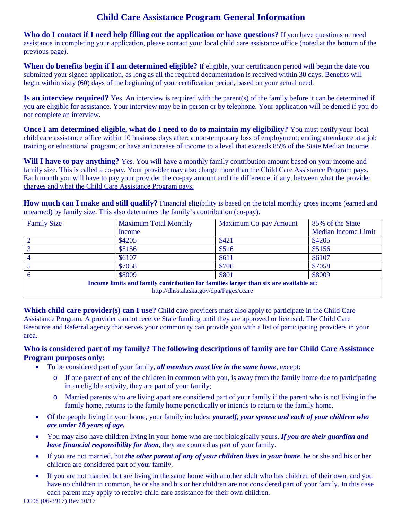## **Child Care Assistance Program General Information**

**Who do I contact if I need help filling out the application or have questions?** If you have questions or need assistance in completing your application, please contact your local child care assistance office (noted at the bottom of the previous page).

**When do benefits begin if I am determined eligible?** If eligible, your certification period will begin the date you submitted your signed application, as long as all the required documentation is received within 30 days. Benefits will begin within sixty (60) days of the beginning of your certification period, based on your actual need.

**Is an interview required?** Yes. An interview is required with the parent(s) of the family before it can be determined if you are eligible for assistance. Your interview may be in person or by telephone. Your application will be denied if you do not complete an interview.

**Once I am determined eligible, what do I need to do to maintain my eligibility?** You must notify your local child care assistance office within 10 business days after: a non-temporary loss of employment; ending attendance at a job training or educational program; or have an increase of income to a level that exceeds 85% of the State Median Income.

**Will I have to pay anything?** Yes. You will have a monthly family contribution amount based on your income and family size. This is called a co-pay. Your provider may also charge more than the Child Care Assistance Program pays. Each month you will have to pay your provider the co-pay amount and the difference, if any, between what the provider charges and what the Child Care Assistance Program pays.

**How much can I make and still qualify?** Financial eligibility is based on the total monthly gross income (earned and unearned) by family size. This also determines the family's contribution (co-pay).

| <b>Family Size</b>                                                                   | <b>Maximum Total Monthly</b> | <b>Maximum Co-pay Amount</b> | 85% of the State           |  |  |  |
|--------------------------------------------------------------------------------------|------------------------------|------------------------------|----------------------------|--|--|--|
|                                                                                      | Income                       |                              | <b>Median Income Limit</b> |  |  |  |
|                                                                                      | \$4205                       | \$421                        | \$4205                     |  |  |  |
|                                                                                      | \$5156                       | \$516                        | \$5156                     |  |  |  |
|                                                                                      | \$6107                       | \$611                        | \$6107                     |  |  |  |
|                                                                                      | \$7058                       | \$706                        | \$7058                     |  |  |  |
|                                                                                      | \$8009                       | \$801                        | \$8009                     |  |  |  |
| Income limits and family contribution for families larger than six are available at: |                              |                              |                            |  |  |  |
| http://dhss.alaska.gov/dpa/Pages/ccare                                               |                              |                              |                            |  |  |  |

**Which child care provider(s) can I use?** Child care providers must also apply to participate in the Child Care Assistance Program. A provider cannot receive State funding until they are approved or licensed. The Child Care Resource and Referral agency that serves your community can provide you with a list of participating providers in your area.

## **Who is considered part of my family? The following descriptions of family are for Child Care Assistance Program purposes only:**

- To be considered part of your family, *all members must live in the same home*, except:
	- o If one parent of any of the children in common with you, is away from the family home due to participating in an eligible activity, they are part of your family;
	- o Married parents who are living apart are considered part of your family if the parent who is not living in the family home, returns to the family home periodically or intends to return to the family home.
- Of the people living in your home, your family includes: *yourself, your spouse and each of your children who are under 18 years of age.*
- You may also have children living in your home who are not biologically yours. *If you are their guardian and have financial responsibility for them*, they are counted as part of your family.
- If you are not married, but *the other parent of any of your children lives in your home*, he or she and his or her children are considered part of your family.
- If you are not married but are living in the same home with another adult who has children of their own, and you have no children in common, he or she and his or her children are not considered part of your family. In this case each parent may apply to receive child care assistance for their own children.

CC08 (06-3917) Rev 10/17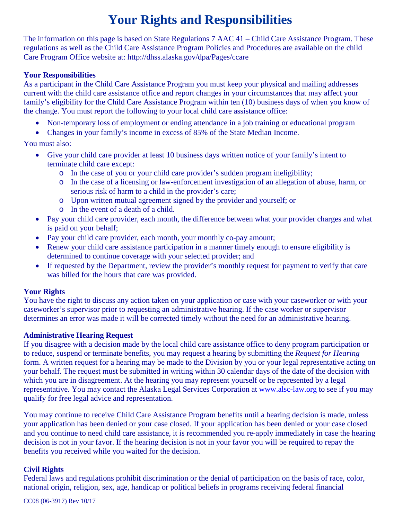# **Your Rights and Responsibilities**

The information on this page is based on State Regulations 7 AAC 41 – Child Care Assistance Program. These regulations as well as the Child Care Assistance Program Policies and Procedures are available on the child Care Program Office website at: http://dhss.alaska.gov/dpa/Pages/ccare

#### **Your Responsibilities**

As a participant in the Child Care Assistance Program you must keep your physical and mailing addresses current with the child care assistance office and report changes in your circumstances that may affect your family's eligibility for the Child Care Assistance Program within ten (10) business days of when you know of the change. You must report the following to your local child care assistance office:

- Non-temporary loss of employment or ending attendance in a job training or educational program
- Changes in your family's income in excess of 85% of the State Median Income.

## You must also:

- Give your child care provider at least 10 business days written notice of your family's intent to terminate child care except:
	- o In the case of you or your child care provider's sudden program ineligibility;
	- o In the case of a licensing or law-enforcement investigation of an allegation of abuse, harm, or serious risk of harm to a child in the provider's care;
	- o Upon written mutual agreement signed by the provider and yourself; or
	- o In the event of a death of a child.
- Pay your child care provider, each month, the difference between what your provider charges and what is paid on your behalf;
- Pay your child care provider, each month, your monthly co-pay amount;
- Renew your child care assistance participation in a manner timely enough to ensure eligibility is determined to continue coverage with your selected provider; and
- If requested by the Department, review the provider's monthly request for payment to verify that care was billed for the hours that care was provided.

## **Your Rights**

You have the right to discuss any action taken on your application or case with your caseworker or with your caseworker's supervisor prior to requesting an administrative hearing. If the case worker or supervisor determines an error was made it will be corrected timely without the need for an administrative hearing.

## **Administrative Hearing Request**

If you disagree with a decision made by the local child care assistance office to deny program participation or to reduce, suspend or terminate benefits, you may request a hearing by submitting the *Request for Hearing* form. A written request for a hearing may be made to the Division by you or your legal representative acting on your behalf. The request must be submitted in writing within 30 calendar days of the date of the decision with which you are in disagreement. At the hearing you may represent yourself or be represented by a legal representative. You may contact the Alaska Legal Services Corporation at [www.alsc-law.org](http://www.alsc-law.org/) to see if you may qualify for free legal advice and representation.

You may continue to receive Child Care Assistance Program benefits until a hearing decision is made, unless your application has been denied or your case closed. If your application has been denied or your case closed and you continue to need child care assistance, it is recommended you re-apply immediately in case the hearing decision is not in your favor. If the hearing decision is not in your favor you will be required to repay the benefits you received while you waited for the decision.

## **Civil Rights**

Federal laws and regulations prohibit discrimination or the denial of participation on the basis of race, color, national origin, religion, sex, age, handicap or political beliefs in programs receiving federal financial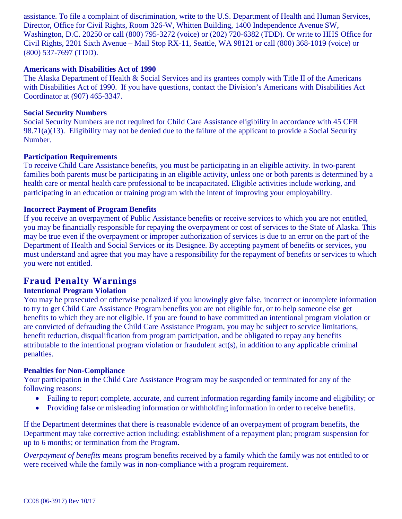assistance. To file a complaint of discrimination, write to the U.S. Department of Health and Human Services, Director, Office for Civil Rights, Room 326-W, Whitten Building, 1400 Independence Avenue SW, Washington, D.C. 20250 or call (800) 795-3272 (voice) or (202) 720-6382 (TDD). Or write to HHS Office for Civil Rights, 2201 Sixth Avenue – Mail Stop RX-11, Seattle, WA 98121 or call (800) 368-1019 (voice) or (800) 537-7697 (TDD).

#### **Americans with Disabilities Act of 1990**

The Alaska Department of Health & Social Services and its grantees comply with Title II of the Americans with Disabilities Act of 1990. If you have questions, contact the Division's Americans with Disabilities Act Coordinator at (907) 465-3347.

#### **Social Security Numbers**

Social Security Numbers are not required for Child Care Assistance eligibility in accordance with 45 CFR 98.71(a)(13). Eligibility may not be denied due to the failure of the applicant to provide a Social Security Number.

#### **Participation Requirements**

To receive Child Care Assistance benefits, you must be participating in an eligible activity. In two-parent families both parents must be participating in an eligible activity, unless one or both parents is determined by a health care or mental health care professional to be incapacitated. Eligible activities include working, and participating in an education or training program with the intent of improving your employability.

#### **Incorrect Payment of Program Benefits**

If you receive an overpayment of Public Assistance benefits or receive services to which you are not entitled, you may be financially responsible for repaying the overpayment or cost of services to the State of Alaska. This may be true even if the overpayment or improper authorization of services is due to an error on the part of the Department of Health and Social Services or its Designee. By accepting payment of benefits or services, you must understand and agree that you may have a responsibility for the repayment of benefits or services to which you were not entitled.

## **Fraud Penalty Warnings**

#### **Intentional Program Violation**

You may be prosecuted or otherwise penalized if you knowingly give false, incorrect or incomplete information to try to get Child Care Assistance Program benefits you are not eligible for, or to help someone else get benefits to which they are not eligible. If you are found to have committed an intentional program violation or are convicted of defrauding the Child Care Assistance Program, you may be subject to service limitations, benefit reduction, disqualification from program participation, and be obligated to repay any benefits attributable to the intentional program violation or fraudulent act(s), in addition to any applicable criminal penalties.

#### **Penalties for Non-Compliance**

Your participation in the Child Care Assistance Program may be suspended or terminated for any of the following reasons:

- Failing to report complete, accurate, and current information regarding family income and eligibility; or
- Providing false or misleading information or withholding information in order to receive benefits.

If the Department determines that there is reasonable evidence of an overpayment of program benefits, the Department may take corrective action including: establishment of a repayment plan; program suspension for up to 6 months; or termination from the Program.

*Overpayment of benefits* means program benefits received by a family which the family was not entitled to or were received while the family was in non-compliance with a program requirement.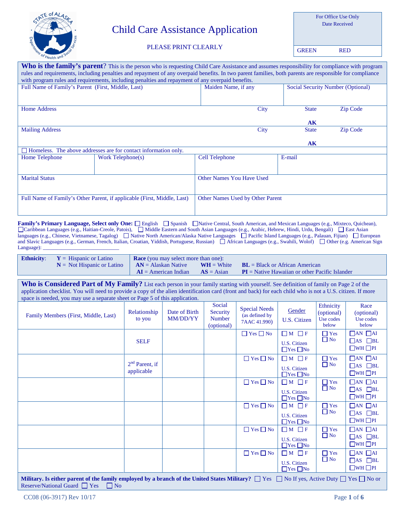

# Child Care Assistance Application

For Office Use Only Date Received

#### PLEASE PRINT CLEARLY

GREEN RED

| Who is the family's parent? This is the person who is requesting Child Care Assistance and assumes responsibility for compliance with program           |                                                                        |                                  |      |                                   |                 |  |  |
|---------------------------------------------------------------------------------------------------------------------------------------------------------|------------------------------------------------------------------------|----------------------------------|------|-----------------------------------|-----------------|--|--|
| rules and requirements, including penalties and repayment of any overpaid benefits. In two parent families, both parents are responsible for compliance |                                                                        |                                  |      |                                   |                 |  |  |
| with program rules and requirements, including penalties and repayment of any overpaid benefits.                                                        |                                                                        |                                  |      |                                   |                 |  |  |
| Full Name of Family's Parent (First, Middle, Last)                                                                                                      |                                                                        | Maiden Name, if any              |      | Social Security Number (Optional) |                 |  |  |
|                                                                                                                                                         |                                                                        |                                  |      |                                   |                 |  |  |
| <b>Home Address</b>                                                                                                                                     |                                                                        |                                  | City | <b>State</b>                      | <b>Zip Code</b> |  |  |
|                                                                                                                                                         |                                                                        |                                  |      | A <sub>K</sub>                    |                 |  |  |
| <b>Mailing Address</b>                                                                                                                                  |                                                                        |                                  | City | <b>State</b>                      | <b>Zip Code</b> |  |  |
|                                                                                                                                                         |                                                                        |                                  |      | AK                                |                 |  |  |
|                                                                                                                                                         | $\Box$ Homeless. The above addresses are for contact information only. |                                  |      |                                   |                 |  |  |
| Home Telephone                                                                                                                                          | Work Telephone(s)                                                      | <b>Cell Telephone</b>            |      | E-mail                            |                 |  |  |
|                                                                                                                                                         |                                                                        |                                  |      |                                   |                 |  |  |
| <b>Marital Status</b>                                                                                                                                   | <b>Other Names You Have Used</b>                                       |                                  |      |                                   |                 |  |  |
|                                                                                                                                                         |                                                                        |                                  |      |                                   |                 |  |  |
| Full Name of Family's Other Parent, if applicable (First, Middle, Last)                                                                                 |                                                                        | Other Names Used by Other Parent |      |                                   |                 |  |  |
|                                                                                                                                                         |                                                                        |                                  |      |                                   |                 |  |  |

Family's Primary Language, Select only One:  $\square$  English  $\square$  Spanish  $\square$  Native Central, South American, and Mexican Languages (e.g., Mixteco, Quichean), Caribbean Languages (e.g., Haitian-Creole, Patois),  $\Box$  Middle Eastern and South Asian Languages (e.g., Arabic, Hebrew, Hindi, Urdu, Bengali)  $\Box$  East Asian languages (e.g., Chinese, Vietnamese, Tagalog) Native North American/Alaska Native Languages IP acific Island Languages (e.g., Palauan, Fijian) I European and Slavic Languages (e.g., German, French, Italian, Croatian, Yiddish, Portuguese, Russian) African Languages (e.g., Swahili, Wolof)  $\Box$  Other (e.g. American Sign Language):

| <b>Ethnicity:</b> $Y = H$ ispanic or Latino            | <b>Race</b> (you may select more than one): |              |                                                  |  |  |
|--------------------------------------------------------|---------------------------------------------|--------------|--------------------------------------------------|--|--|
| $N = Not Hispanic or Latino$ $\bf{AN} = Alaska$ Native |                                             |              | $WH = White$ $BL = Black$ or African American    |  |  |
|                                                        | $\mathbf{AI} =$ American Indian             | $AS = Asian$ | $PI =$ Native Hawaiian or other Pacific Islander |  |  |

Who is Considered Part of My Family? List each person in your family starting with yourself. See definition of family on Page 2 of the application checklist. You will need to provide a copy of the alien identification card (front and back) for each child who is not a U.S. citizen. If more space is needed, you may use a separate sheet or Page 5 of this application.

| Family Members (First, Middle, Last)                                                                                                                                                                            | Relationship<br>to you         | Date of Birth<br>MM/DD/YY | Social<br>Security<br><b>Number</b><br>(optional) | <b>Special Needs</b><br>(as defined by<br>7AAC 41.990) | Gender<br>U.S. Citizen                                         | <b>Ethnicity</b><br>(optional)<br>Use codes<br>below | Race<br>(optional)<br>Use codes<br>below                          |
|-----------------------------------------------------------------------------------------------------------------------------------------------------------------------------------------------------------------|--------------------------------|---------------------------|---------------------------------------------------|--------------------------------------------------------|----------------------------------------------------------------|------------------------------------------------------|-------------------------------------------------------------------|
|                                                                                                                                                                                                                 | <b>SELF</b>                    |                           |                                                   | $\Box$ Yes $\Box$ No                                   | $\Box M \Box F$<br><b>U.S. Citizen</b><br>$\Box$ Yes $\Box$ No | $\Box$ Yes<br>$\Box$ No                              | $\Box$ AN $\Box$ AI<br>$\Box$ AS $\Box$ BL<br>$\Box$ WH $\Box$ PI |
|                                                                                                                                                                                                                 | $2nd$ Parent, if<br>applicable |                           |                                                   | $\Box$ Yes $\Box$ No                                   | $M \Box F$<br>U.S. Citizen<br>$\Box$ Yes $\Box$ No             | $\Box$ Yes<br>$\Box$ No                              | $\Box$ AN $\Box$ AI<br>$\Box$ AS $\Box$ BL<br>$\Box$ WH $\Box$ PI |
|                                                                                                                                                                                                                 |                                |                           |                                                   | $\Box$ Yes $\Box$ No                                   | $\Box M \Box F$<br>U.S. Citizen<br>$\Box$ Yes $\Box$ No        | $\Box$ Yes<br>$\Box$ No                              | $\Box$ AN $\Box$ AI<br>$\Box$ AS $\Box$ BL<br>$\Box$ WH $\Box$ PI |
|                                                                                                                                                                                                                 |                                |                           |                                                   | $\Box$ Yes $\Box$ No                                   | $\Box$ M $\Box$ F<br>U.S. Citizen<br>$\Box$ Yes $\Box$ No      | $\Box$ Yes<br>$\Box$ No                              | $\Box$ AN $\Box$ AI<br>$\Box$ AS $\Box$ BL<br>$\Box$ WH $\Box$ PI |
|                                                                                                                                                                                                                 |                                |                           |                                                   | $\Box$ Yes $\Box$ No                                   | $\Box$ M $\Box$ F<br>U.S. Citizen<br>$\Box$ Yes $\Box$ No      | $\Box$ Yes<br>$\Box$ No                              | $\Box$ AN $\Box$ AI<br>$\Box$ AS $\Box$ BL<br>$\Box$ WH $\Box$ PI |
|                                                                                                                                                                                                                 |                                |                           |                                                   | $\Box$ Yes $\Box$ No                                   | $\Box M \Box F$<br>U.S. Citizen<br>$\Box$ Yes $\Box$ No        | $\Box$ Yes<br>$\Box$ No                              | $\Box$ AN $\Box$ AI<br>$\Box$ AS $\Box$ BL<br>$\Box$ WH $\Box$ PI |
| Military. Is either parent of the family employed by a branch of the United States Military? $\Box$ Yes $\Box$ No If yes, Active Duty $\Box$ Yes $\Box$ No or<br>Reserve/National Guard $\Box$ Yes<br>$\Box$ No |                                |                           |                                                   |                                                        |                                                                |                                                      |                                                                   |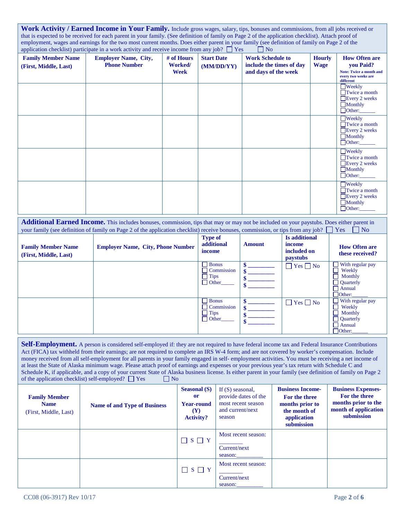| Work Activity / Earned Income in Your Family. Include gross wages, salary, tips, bonuses and commissions, from all jobs received or                |
|----------------------------------------------------------------------------------------------------------------------------------------------------|
| that is expected to be received for each parent in your family. (See definition of family on Page 2 of the application checklist). Attach proof of |
| employment, wages and earnings for the two most current months. Does either parent in your family (see definition of family on Page 2 of the       |
| application checklist) participate in a work activity and receive income from any job? $\Box$ Yes<br>$\overline{\phantom{a}}$ No                   |

| <b>Family Member Name</b><br>(First, Middle, Last) | <b>Employer Name, City,</b><br><b>Phone Number</b> | # of Hours<br>Worked/<br>Week | <b>Start Date</b><br>(MM/DD/YY) | <b>Work Schedule to</b><br>include the times of day<br>and days of the week | <b>Hourly</b><br><b>Wage</b> | <b>How Often are</b><br>you Paid?<br><b>Note: Twice a month and</b><br>every two weeks are<br>different |
|----------------------------------------------------|----------------------------------------------------|-------------------------------|---------------------------------|-----------------------------------------------------------------------------|------------------------------|---------------------------------------------------------------------------------------------------------|
|                                                    |                                                    |                               |                                 |                                                                             |                              | $\Box$ Weekly<br>$\Box$ Twice a month<br>$\Box$ Every 2 weeks<br>Monthly<br>Other:                      |
|                                                    |                                                    |                               |                                 |                                                                             |                              | $\Box$ Weekly<br>$\Box$ Twice a month<br>$\Box$ Every 2 weeks<br>$\Box$ Monthly<br>$\Box$ Other:        |
|                                                    |                                                    |                               |                                 |                                                                             |                              | $\Box$ Weekly<br>$\Box$ Twice a month<br>Every 2 weeks<br>Monthly<br>$\Box$ Other:                      |
|                                                    |                                                    |                               |                                 |                                                                             |                              | $\Box$ Weekly<br>$\Box$ Twice a month<br>Every 2 weeks<br>$\Box$ Monthly<br>Other:                      |

**Additional Earned Income.** This includes bonuses, commission, tips that may or may not be included on your paystubs. Does either parent in your family (see definition of family on Page 2 of the application checklist) receive bonuses, commission, or tips from any job?  $\Box$  Yes  $\Box$  No

| <b>Family Member Name</b><br>(First, Middle, Last) | <b>Employer Name, City, Phone Number</b> | <b>Type of</b><br>additional<br>income                    | <b>Amount</b> | <b>Is additional</b><br>income<br>included on<br><b>paystubs</b> | <b>How Often are</b><br>these received?                                                     |
|----------------------------------------------------|------------------------------------------|-----------------------------------------------------------|---------------|------------------------------------------------------------------|---------------------------------------------------------------------------------------------|
|                                                    |                                          | <b>Bonus</b><br>Commission<br><b>Tips</b><br>Other        |               | $\Box$ Yes $\Box$ No                                             | With regular pay<br>Weekly<br>Monthly<br>$\Box$ Quarterly<br>$\Box$ Annual<br>$\Box$ Other: |
|                                                    |                                          | <b>Bonus</b><br>Commission<br><b>Tips</b><br>$\Box$ Other |               | $\Box$ Yes $\Box$ No                                             | With regular pay<br>Weekly<br>Monthly<br><b>Quarterly</b><br>$\Box$ Annual<br>$\Box$ Other: |

Self-Employment. A person is considered self-employed if: they are not required to have federal income tax and Federal Insurance Contributions Act (FICA) tax withheld from their earnings; are not required to complete an IRS W-4 form; and are not covered by worker's compensation. Include money received from all self-employment for all parents in your family engaged in self- employment activities. You must be receiving a net income of at least the State of Alaska minimum wage. Please attach proof of earnings and expenses or your previous year's tax return with Schedule C and Schedule K, if applicable, and a copy of your current State of Alaska business license. Is either parent in your family (see definition of family on Page 2 of the application checklist) self-employed?  $\Box$  Yes  $\Box$  No of the application checklist) self-employed?  $\Box$  Yes

| <b>Family Member</b><br><b>Name</b><br>(First, Middle, Last) | <b>Name of and Type of Business</b> | <b>Seasonal</b> (S)<br><b>or</b><br><b>Year-round</b><br>(Y)<br><b>Activity?</b> | If $(S)$ seasonal,<br>provide dates of the<br>most recent season<br>and current/next<br>season | <b>Business Income-</b><br>For the three<br>months prior to<br>the month of<br>application<br>submission | <b>Business Expenses-</b><br>For the three<br>months prior to the<br>month of application<br>submission |
|--------------------------------------------------------------|-------------------------------------|----------------------------------------------------------------------------------|------------------------------------------------------------------------------------------------|----------------------------------------------------------------------------------------------------------|---------------------------------------------------------------------------------------------------------|
|                                                              |                                     | $S \square Y$                                                                    | Most recent season:<br>Current/next<br>season:                                                 |                                                                                                          |                                                                                                         |
|                                                              |                                     | $\Box$ S $\Box$ Y                                                                | Most recent season:<br>Current/next<br>season:                                                 |                                                                                                          |                                                                                                         |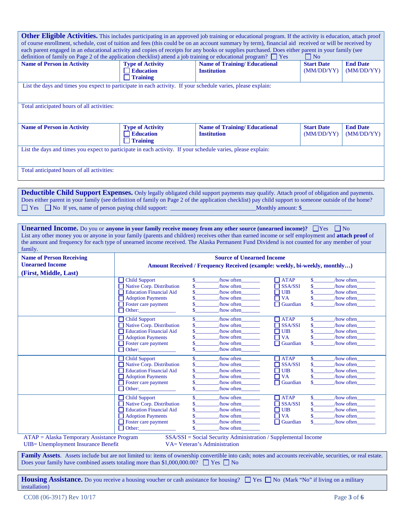| <b>Other Eligible Activities.</b> This includes participating in an approved job training or educational program. If the activity is education, attach proof<br>of course enrollment, schedule, cost of tuition and fees (this could be on an account summary by term), financial aid received or will be received by<br>each parent engaged in an educational activity and copies of receipts for any books or supplies purchased. Does either parent in your family (see<br>definition of family on Page 2 of the application checklist) attend a job training or educational program? $\Box$ Yes<br>    No |                                                                                                                |                                                                                                |                               |                                 |                               |  |  |  |
|---------------------------------------------------------------------------------------------------------------------------------------------------------------------------------------------------------------------------------------------------------------------------------------------------------------------------------------------------------------------------------------------------------------------------------------------------------------------------------------------------------------------------------------------------------------------------------------------------------------|----------------------------------------------------------------------------------------------------------------|------------------------------------------------------------------------------------------------|-------------------------------|---------------------------------|-------------------------------|--|--|--|
| <b>Name of Person in Activity</b>                                                                                                                                                                                                                                                                                                                                                                                                                                                                                                                                                                             | <b>Type of Activity</b><br><b>Education</b><br><b>Training</b>                                                 | <b>Name of Training/Educational</b><br><b>Institution</b>                                      |                               | <b>Start Date</b><br>(MM/DD/YY) | <b>End Date</b><br>(MM/DD/YY) |  |  |  |
|                                                                                                                                                                                                                                                                                                                                                                                                                                                                                                                                                                                                               | List the days and times you expect to participate in each activity. If your schedule varies, please explain:   |                                                                                                |                               |                                 |                               |  |  |  |
| Total anticipated hours of all activities:                                                                                                                                                                                                                                                                                                                                                                                                                                                                                                                                                                    |                                                                                                                |                                                                                                |                               |                                 |                               |  |  |  |
| <b>Name of Person in Activity</b>                                                                                                                                                                                                                                                                                                                                                                                                                                                                                                                                                                             | <b>Type of Activity</b><br><b>Education</b><br>$\Box$ Training                                                 | <b>Name of Training/Educational</b><br><b>Institution</b>                                      |                               | <b>Start Date</b><br>(MM/DD/YY) | <b>End Date</b><br>(MM/DD/YY) |  |  |  |
| List the days and times you expect to participate in each activity. If your schedule varies, please explain:                                                                                                                                                                                                                                                                                                                                                                                                                                                                                                  |                                                                                                                |                                                                                                |                               |                                 |                               |  |  |  |
| Total anticipated hours of all activities:                                                                                                                                                                                                                                                                                                                                                                                                                                                                                                                                                                    |                                                                                                                |                                                                                                |                               |                                 |                               |  |  |  |
| Deductible Child Support Expenses. Only legally obligated child support payments may qualify. Attach proof of obligation and payments.<br>Does either parent in your family (see definition of family on Page 2 of the application checklist) pay child support to someone outside of the home?                                                                                                                                                                                                                                                                                                               |                                                                                                                | Monthly amount: \$                                                                             |                               |                                 |                               |  |  |  |
| <b>Unearned Income.</b> Do you or anyone in your family receive money from any other source (unearned income)? $\Box$ Yes<br>List any other money you or anyone in your family (parents and children) receives other than earned income or self employment and attach proof of<br>the amount and frequency for each type of unearned income received. The Alaska Permanent Fund Dividend is not counted for any member of your<br>family.                                                                                                                                                                     |                                                                                                                |                                                                                                |                               | $\vert$   No                    |                               |  |  |  |
| <b>Name of Person Receiving</b><br><b>Unearned Income</b>                                                                                                                                                                                                                                                                                                                                                                                                                                                                                                                                                     | <b>Source of Unearned Income</b><br>Amount Received / Frequency Received (example: weekly, bi-weekly, monthly) |                                                                                                |                               |                                 |                               |  |  |  |
| (First, Middle, Last)                                                                                                                                                                                                                                                                                                                                                                                                                                                                                                                                                                                         |                                                                                                                |                                                                                                |                               |                                 |                               |  |  |  |
|                                                                                                                                                                                                                                                                                                                                                                                                                                                                                                                                                                                                               | Child Support<br>Native Corp. Distribution                                                                     | how often<br>\$<br>\$<br>$/$ how often                                                         | $\Box$ ATAP<br>$\Box$ SSA/SSI | \$                              | how often<br>how often        |  |  |  |
|                                                                                                                                                                                                                                                                                                                                                                                                                                                                                                                                                                                                               | Education Financial Aid                                                                                        | $/$ how often                                                                                  | $\Box$ UIB                    |                                 | how often                     |  |  |  |
|                                                                                                                                                                                                                                                                                                                                                                                                                                                                                                                                                                                                               | Adoption Payments                                                                                              | \$<br>how often                                                                                | $\Box$ VA                     | \$                              | how often                     |  |  |  |
|                                                                                                                                                                                                                                                                                                                                                                                                                                                                                                                                                                                                               | $\Box$ Foster care payment                                                                                     | how often                                                                                      | $\Box$ Guardian               | \$                              | how often                     |  |  |  |
|                                                                                                                                                                                                                                                                                                                                                                                                                                                                                                                                                                                                               | $\Box$ Other:                                                                                                  | /how often<br>\$                                                                               |                               |                                 |                               |  |  |  |
|                                                                                                                                                                                                                                                                                                                                                                                                                                                                                                                                                                                                               | $\Box$ Child Support                                                                                           | \$<br>how often                                                                                | $\Box$ ATAP                   | \$                              | how often                     |  |  |  |
|                                                                                                                                                                                                                                                                                                                                                                                                                                                                                                                                                                                                               | Native Corp. Distribution<br><b>Education Financial Aid</b>                                                    | \$.<br>/how often_<br>\$<br>/how often                                                         | <b>SSA/SSI</b><br><b>UIB</b>  |                                 | /how often_<br>/how often     |  |  |  |
|                                                                                                                                                                                                                                                                                                                                                                                                                                                                                                                                                                                                               | Adoption Payments                                                                                              | \$<br>/how often<br>$\Box$                                                                     | <b>VA</b>                     | \$                              | how often                     |  |  |  |
|                                                                                                                                                                                                                                                                                                                                                                                                                                                                                                                                                                                                               | Foster care payment                                                                                            | \$.<br>how often                                                                               | $\Box$ Guardian               | \$                              | how often                     |  |  |  |
|                                                                                                                                                                                                                                                                                                                                                                                                                                                                                                                                                                                                               | $\Box$ Other:                                                                                                  | \$.<br>/how often                                                                              |                               |                                 |                               |  |  |  |
|                                                                                                                                                                                                                                                                                                                                                                                                                                                                                                                                                                                                               | <b>Child Support</b><br>$\Box$ Native Corp. Distribution                                                       | \$<br>/how often<br>\$                                                                         | $\Box$ ATAP<br>$\Box$ SSA/SSI | \$.<br>\$                       | how often<br>how often        |  |  |  |
|                                                                                                                                                                                                                                                                                                                                                                                                                                                                                                                                                                                                               | <b>Education Financial Aid</b>                                                                                 | /how often<br>how often<br>\$<br>$\mathsf{L}$                                                  | <b>UIB</b>                    | \$                              | how often                     |  |  |  |
|                                                                                                                                                                                                                                                                                                                                                                                                                                                                                                                                                                                                               | <b>Adoption Payments</b>                                                                                       | \$<br>how often                                                                                | $\Box$ VA                     | \$                              | how often                     |  |  |  |
|                                                                                                                                                                                                                                                                                                                                                                                                                                                                                                                                                                                                               | Foster care payment                                                                                            | \$<br>/how often_                                                                              | $\Box$ Guardian               | \$                              | how often                     |  |  |  |
|                                                                                                                                                                                                                                                                                                                                                                                                                                                                                                                                                                                                               | $\Box$ Other:                                                                                                  | \$<br>/how often                                                                               |                               |                                 |                               |  |  |  |
|                                                                                                                                                                                                                                                                                                                                                                                                                                                                                                                                                                                                               | <b>Child Support</b>                                                                                           | \$<br>/how often                                                                               | $\Box$ ATAP                   | \$.                             | how often                     |  |  |  |
|                                                                                                                                                                                                                                                                                                                                                                                                                                                                                                                                                                                                               | $\Box$ Native Corp. Distribution<br><b>Education Financial Aid</b>                                             | \$<br>/how often<br>\$<br>how often<br>$\mathsf{L}$                                            | $\Box$ SSA/SSI<br><b>UIB</b>  | \$<br>\$                        | how often                     |  |  |  |
|                                                                                                                                                                                                                                                                                                                                                                                                                                                                                                                                                                                                               | <b>Adoption Payments</b>                                                                                       | \$<br>/how often                                                                               | $\Box$ VA                     | \$                              | how often<br>how often        |  |  |  |
|                                                                                                                                                                                                                                                                                                                                                                                                                                                                                                                                                                                                               | $\Box$ Foster care payment                                                                                     | \$<br>how often                                                                                | $\Box$ Guardian               | \$                              | how often                     |  |  |  |
|                                                                                                                                                                                                                                                                                                                                                                                                                                                                                                                                                                                                               | $\Box$ Other:                                                                                                  | \$<br>/how often                                                                               |                               |                                 |                               |  |  |  |
| ATAP = Alaska Temporary Assistance Program<br>UIB= Unemployment Insurance Benefit                                                                                                                                                                                                                                                                                                                                                                                                                                                                                                                             |                                                                                                                | SSA/SSI = Social Security Administration / Supplemental Income<br>VA= Veteran's Administration |                               |                                 |                               |  |  |  |
| Family Assets. Assets include but are not limited to: items of ownership convertible into cash; notes and accounts receivable, securities, or real estate.                                                                                                                                                                                                                                                                                                                                                                                                                                                    | Does your family have combined assets totaling more than \$1,000,000.00? $\Box$ Yes $\Box$ No                  |                                                                                                |                               |                                 |                               |  |  |  |

Housing Assistance. Do you receive a housing voucher or cash assistance for housing?  $\Box$  Yes  $\Box$  No (Mark "No" if living on a military installation)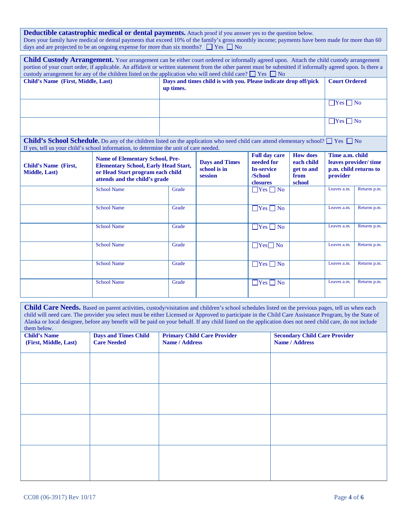**Deductible catastrophic medical or dental payments.** Attach proof if you answer yes to the question below. Does your family have medical or dental payments that exceed 10% of the family's gross monthly income; payments have been made for more than 60 days and are projected to be an ongoing expense for more than six months?  $\Box$  Yes  $\Box$  No

|                                                     | <b>Child Custody Arrangement.</b> Your arrangement can be either court ordered or informally agreed upon. Attach the child custody arrangement<br>portion of your court order, if applicable. An affidavit or written statement from the other parent must be submitted if informally agreed upon. Is there a<br>custody arrangement for any of the children listed on the application who will need child care? $\Box$ Yes $\Box$ No |                                                                              |                                                  |                                                                                |                                                               |                             |                                               |  |
|-----------------------------------------------------|---------------------------------------------------------------------------------------------------------------------------------------------------------------------------------------------------------------------------------------------------------------------------------------------------------------------------------------------------------------------------------------------------------------------------------------|------------------------------------------------------------------------------|--------------------------------------------------|--------------------------------------------------------------------------------|---------------------------------------------------------------|-----------------------------|-----------------------------------------------|--|
| Child's Name (First, Middle, Last)                  |                                                                                                                                                                                                                                                                                                                                                                                                                                       | Days and times child is with you. Please indicate drop off/pick<br>up times. |                                                  |                                                                                |                                                               |                             | <b>Court Ordered</b>                          |  |
|                                                     |                                                                                                                                                                                                                                                                                                                                                                                                                                       |                                                                              |                                                  |                                                                                |                                                               | $\Box$ Yes $\Box$ No        |                                               |  |
|                                                     |                                                                                                                                                                                                                                                                                                                                                                                                                                       |                                                                              |                                                  |                                                                                |                                                               | $\Box$ Yes $\Box$ No        |                                               |  |
|                                                     | <b>Child's School Schedule.</b> Do any of the children listed on the application who need child care attend elementary school? $\Box$ Yes $\Box$ No<br>If yes, tell us your child's school information, to determine the unit of care needed.                                                                                                                                                                                         |                                                                              |                                                  |                                                                                |                                                               |                             |                                               |  |
| <b>Child's Name (First,</b><br><b>Middle, Last)</b> | <b>Name of Elementary School, Pre-</b><br><b>Elementary School, Early Head Start,</b><br>or Head Start program each child<br>attends and the child's grade                                                                                                                                                                                                                                                                            |                                                                              | <b>Days and Times</b><br>school is in<br>session | <b>Full day care</b><br>needed for<br><b>In-service</b><br>/School<br>closures | <b>How does</b><br>each child<br>get to and<br>from<br>school | Time a.m. child<br>provider | leaves provider/time<br>p.m. child returns to |  |
|                                                     | <b>School Name</b>                                                                                                                                                                                                                                                                                                                                                                                                                    | Grade                                                                        |                                                  | $\Box$ Yes $\Box$ No                                                           |                                                               | Leaves a.m.                 | Returns p.m.                                  |  |
|                                                     | <b>School Name</b>                                                                                                                                                                                                                                                                                                                                                                                                                    | Grade                                                                        |                                                  | $\Box$ Yes $\Box$ No                                                           |                                                               | Leaves a.m.                 | Returns p.m.                                  |  |
|                                                     | <b>School Name</b>                                                                                                                                                                                                                                                                                                                                                                                                                    | Grade                                                                        |                                                  | $\Box$ Yes $\Box$ No                                                           |                                                               | Leaves a.m.                 | Returns p.m.                                  |  |
|                                                     | <b>School Name</b>                                                                                                                                                                                                                                                                                                                                                                                                                    | Grade                                                                        |                                                  | $Yes$ No                                                                       |                                                               | Leaves a.m.                 | Returns p.m.                                  |  |
|                                                     | <b>School Name</b>                                                                                                                                                                                                                                                                                                                                                                                                                    | Grade                                                                        |                                                  | $\Box$ Yes $\Box$ No                                                           |                                                               | Leaves a.m.                 | Returns p.m.                                  |  |
|                                                     | <b>School Name</b>                                                                                                                                                                                                                                                                                                                                                                                                                    | Grade                                                                        |                                                  | $\Box$ Yes $\Box$ No                                                           |                                                               | Leaves a.m.                 | Returns p.m.                                  |  |

**Child Care Needs.** Based on parent activities, custody/visitation and children's school schedules listed on the previous pages, tell us when each child will need care. The provider you select must be either Licensed or Approved to participate in the Child Care Assistance Program, by the State of Alaska or local designee, before any benefit will be paid on your behalf. If any child listed on the application does not need child care, do not include them below.

| $\frac{1}{2}$<br><b>Child's Name</b> | <b>Days and Times Child</b> | <b>Primary Child Care Provider</b> | <b>Secondary Child Care Provider</b> |
|--------------------------------------|-----------------------------|------------------------------------|--------------------------------------|
| (First, Middle, Last)                | <b>Care Needed</b>          | Name / Address                     | Name / Address                       |
|                                      |                             |                                    |                                      |
|                                      |                             |                                    |                                      |
|                                      |                             |                                    |                                      |
|                                      |                             |                                    |                                      |
|                                      |                             |                                    |                                      |
|                                      |                             |                                    |                                      |
|                                      |                             |                                    |                                      |
|                                      |                             |                                    |                                      |
|                                      |                             |                                    |                                      |
|                                      |                             |                                    |                                      |
|                                      |                             |                                    |                                      |
|                                      |                             |                                    |                                      |
|                                      |                             |                                    |                                      |
|                                      |                             |                                    |                                      |
|                                      |                             |                                    |                                      |
|                                      |                             |                                    |                                      |
|                                      |                             |                                    |                                      |
|                                      |                             |                                    |                                      |
|                                      |                             |                                    |                                      |
|                                      |                             |                                    |                                      |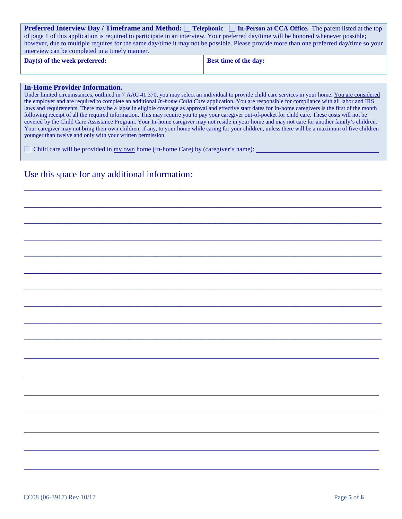| <b>Preferred Interview Day / Timeframe and Method:</b> Telephonic In-Person at CCA Office. The parent listed at the top                 |
|-----------------------------------------------------------------------------------------------------------------------------------------|
| of page 1 of this application is required to participate in an interview. Your preferred day/time will be honored whenever possible;    |
| however, due to multiple requires for the same day/time it may not be possible. Please provide more than one preferred day/time so your |
| interview can be completed in a timely manner.                                                                                          |

**Day(s) of the week preferred: Best time of the day:** 

#### **In-Home Provider Information.**

Under limited circumstances, outlined in 7 AAC 41.370, you may select an individual to provide child care services in your home. You are considered the employer and are required to complete an additional *In-home Child Care* application. You are responsible for compliance with all labor and IRS laws and requirements. There may be a lapse in eligible coverage as approval and effective start dates for In-home caregivers is the first of the month following receipt of all the required information. This may require you to pay your caregiver out-of-pocket for child care. These costs will not be covered by the Child Care Assistance Program. Your In-home caregiver may not reside in your home and may not care for another family's children. Your caregiver may not bring their own children, if any, to your home while caring for your children, unless there will be a maximum of five children younger than twelve and only with your written permission.

**\_\_\_\_\_\_\_\_\_\_\_\_\_\_\_\_\_\_\_\_\_\_\_\_\_\_\_\_\_\_\_\_\_\_\_\_\_\_\_\_\_\_\_\_\_\_\_\_\_\_\_\_\_\_\_\_\_\_\_\_\_\_\_\_\_\_\_\_\_\_\_\_\_\_\_\_\_\_\_\_\_\_\_\_\_\_\_\_\_\_\_\_\_\_\_\_\_\_\_**

**\_\_\_\_\_\_\_\_\_\_\_\_\_\_\_\_\_\_\_\_\_\_\_\_\_\_\_\_\_\_\_\_\_\_\_\_\_\_\_\_\_\_\_\_\_\_\_\_\_\_\_\_\_\_\_\_\_\_\_\_\_\_\_\_\_\_\_\_\_\_\_\_\_\_\_\_\_\_\_\_\_\_\_\_\_\_\_\_\_\_\_\_\_\_\_\_\_\_\_**

**\_\_\_\_\_\_\_\_\_\_\_\_\_\_\_\_\_\_\_\_\_\_\_\_\_\_\_\_\_\_\_\_\_\_\_\_\_\_\_\_\_\_\_\_\_\_\_\_\_\_\_\_\_\_\_\_\_\_\_\_\_\_\_\_\_\_\_\_\_\_\_\_\_\_\_\_\_\_\_\_\_\_\_\_\_\_\_\_\_\_\_\_\_\_\_\_\_\_\_**

**\_\_\_\_\_\_\_\_\_\_\_\_\_\_\_\_\_\_\_\_\_\_\_\_\_\_\_\_\_\_\_\_\_\_\_\_\_\_\_\_\_\_\_\_\_\_\_\_\_\_\_\_\_\_\_\_\_\_\_\_\_\_\_\_\_\_\_\_\_\_\_\_\_\_\_\_\_\_\_\_\_\_\_\_\_\_\_\_\_\_\_\_\_\_\_\_\_\_\_**

**\_\_\_\_\_\_\_\_\_\_\_\_\_\_\_\_\_\_\_\_\_\_\_\_\_\_\_\_\_\_\_\_\_\_\_\_\_\_\_\_\_\_\_\_\_\_\_\_\_\_\_\_\_\_\_\_\_\_\_\_\_\_\_\_\_\_\_\_\_\_\_\_\_\_\_\_\_\_\_\_\_\_\_\_\_\_\_\_\_\_\_\_\_\_\_\_\_\_\_**

**\_\_\_\_\_\_\_\_\_\_\_\_\_\_\_\_\_\_\_\_\_\_\_\_\_\_\_\_\_\_\_\_\_\_\_\_\_\_\_\_\_\_\_\_\_\_\_\_\_\_\_\_\_\_\_\_\_\_\_\_\_\_\_\_\_\_\_\_\_\_\_\_\_\_\_\_\_\_\_\_\_\_\_\_\_\_\_\_\_\_\_\_\_\_\_\_\_\_\_**

**\_\_\_\_\_\_\_\_\_\_\_\_\_\_\_\_\_\_\_\_\_\_\_\_\_\_\_\_\_\_\_\_\_\_\_\_\_\_\_\_\_\_\_\_\_\_\_\_\_\_\_\_\_\_\_\_\_\_\_\_\_\_\_\_\_\_\_\_\_\_\_\_\_\_\_\_\_\_\_\_\_\_\_\_\_\_\_\_\_\_\_\_\_\_\_\_\_\_\_**

**\_\_\_\_\_\_\_\_\_\_\_\_\_\_\_\_\_\_\_\_\_\_\_\_\_\_\_\_\_\_\_\_\_\_\_\_\_\_\_\_\_\_\_\_\_\_\_\_\_\_\_\_\_\_\_\_\_\_\_\_\_\_\_\_\_\_\_\_\_\_\_\_\_\_\_\_\_\_\_\_\_\_\_\_\_\_\_\_\_\_\_\_\_\_\_\_\_\_\_**

**\_\_\_\_\_\_\_\_\_\_\_\_\_\_\_\_\_\_\_\_\_\_\_\_\_\_\_\_\_\_\_\_\_\_\_\_\_\_\_\_\_\_\_\_\_\_\_\_\_\_\_\_\_\_\_\_\_\_\_\_\_\_\_\_\_\_\_\_\_\_\_\_\_\_\_\_\_\_\_\_\_\_\_\_\_\_\_\_\_\_\_\_\_\_\_\_\_\_\_**

**\_\_\_\_\_\_\_\_\_\_\_\_\_\_\_\_\_\_\_\_\_\_\_\_\_\_\_\_\_\_\_\_\_\_\_\_\_\_\_\_\_\_\_\_\_\_\_\_\_\_\_\_\_\_\_\_\_\_\_\_\_\_\_\_\_\_\_\_\_\_\_\_\_\_\_\_\_\_\_\_\_\_\_\_\_\_\_\_\_\_\_\_\_\_\_\_\_\_\_**

Child care will be provided in  $\frac{my}{wm}$  home (In-home Care) by (caregiver's name):

## Use this space for any additional information: